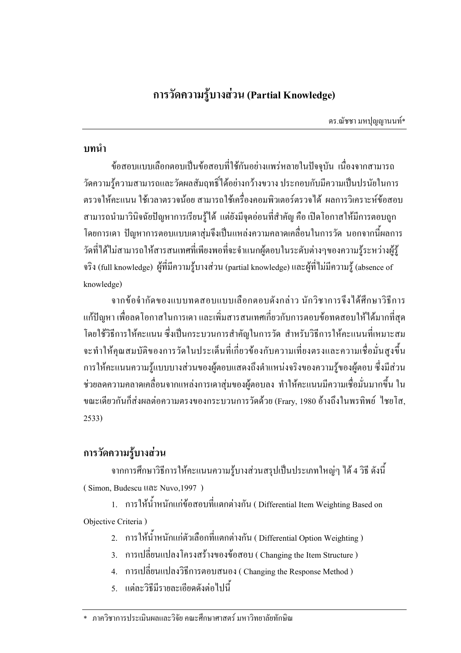คร.ณัชชา มหปุญญานนท์\*

### บทนำ

ข้อสอบแบบเลือกตอบเป็นข้อสอบที่ใช้กันอย่างแพร่หลายในปัจจุบัน เนื่องจากสามารถ วัดความรู้ความสามารถและวัดผลสัมฤทธิ์ได้อย่างกว้างขวาง ประกอบกับมีความเป็นปรนัยในการ ้ตรวจให้คะแนน ใช้เวลาตรวจน้อย สามารถใช้เครื่องคอมพิวเตอร์ตรวจได้ ผลการวิเคราะห์ข้อสอบ ี่ สามารถนำมาวินิจฉัยปัญหาการเรียนรู้ได้ แต่ยังมีจุดอ่อนที่สำคัญ คือ เปิดโอกาสให้มีการตอบถูก โดยการเดา ปัญหาการตอบแบบเดาส่มจึงเป็นแหล่งความคลาดเคลื่อนในการวัด นอกจากนี้ผลการ วัดที่ได้ไม่สามารถให้สารสนเทศที่เพียงพอที่จะจำแนกผู้ตอบในระดับต่างๆของความร้ระหว่างผ้ร้ จริง (full knowledge) ผู้ที่มีความรู้บางส่วน (partial knowledge) และผู้ที่ไม่มีความรู้ (absence of knowledge)

้จากข้อจำกัดของแบบทดสอบแบบเลือกตอบดังกล่าว นักวิชาการจึงได้ศึกษาวิธีการ แก้ปัญหา เพื่อลดโอกาสในการเดา และเพิ่มสารสนเทศเกี่ยวกับการตอบข้อทดสอบให้ได้มากที่สุด โดยใช้วิธีการให้คะแนน ซึ่งเป็นกระบวนการสำคัญในการวัด สำหรับวิธีการให้คะแนนที่เหมาะสม จะทำให้คุณสมบัติของการวัดในประเด็นที่เกี่ยวข้องกับความเที่ยงตรงและความเชื่อมั่นสูงขึ้น การให้คะแนนความรู้แบบบางส่วนของผู้ตอบแสดงถึงตำแหน่งจริงของความรู้ของผู้ตอบ ซึ่งมีส่วน ี่ ช่วยลดความคลาดเคลื่อนจากแหล่งการเดาสุ่มของผู้ตอบลง ทำให้คะแนนมีความเชื่อมั่นมากขึ้น ใน ึ ขณะเดียวกันก็ส่งผลต่อความตรงของกระบวนการวัดด้วย (Frary, 1980 อ้างถึงในพรทิพย์ ไชยโส,  $2533)$ 

# ิการวัดความรู้บางส่วน

ี จากการศึกษาวิธีการให้คะแนนความร้บางส่วนสรปเป็นประเภทใหญ่ๆ ได้ 4 วิธี ดังนี้ (Simon, Budescu 11a<sup>°</sup> Nuvo, 1997)

1. การให้น้ำหนักแก่ข้อสอบที่แตกต่างกัน ( Differential Item Weighting Based on Objective Criteria)

2. การให้น้ำหนักแก่ตัวเลือกที่แตกต่างกัน ( Differential Option Weighting )

- 3. การเปลี่ยนแปลงโครงสร้างของข้อสอบ (Changing the Item Structure)
- 4. การเปลี่ยนแปลงวิธีการตอบสนอง (Changing the Response Method)
- 5. แต่ละวิธีมีรายละเอียดดังต่อไปนี้

<sup>\*</sup> ภาควิชาการประเมินผลและวิจัย คณะศึกนาศาสตร์ มหาวิทยาลัยทักนิณ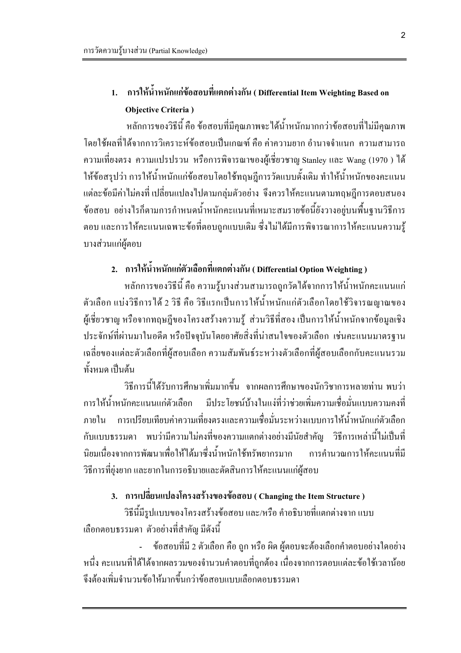# การให้น้ำหนักแก่ข้อสอบที่แตกต่างกัน ( Differential Item Weighting Based on **Objective Criteria**)

หลักการของวิธีนี้ คือ ข้อสอบที่มีคุณภาพจะใค้น้ำหนักมากกว่าข้อสอบที่ไม่มีคุณภาพ โดยใช้ผลที่ได้จากการวิเคราะห์ข้อสอบเป็นเกณฑ์ คือ ค่าความยาก อำนาจจำแนก ความสามารถ ี ความเที่ยงตรง ความแปรปรวน หรือการพิจารณาของผู้เชี่ยวชาญ Stanley และ Wang (1970 ) ใด้ ให้ข้อสรุปว่า การให้น้ำหนักแก่ข้อสอบโดยใช้ทฤษฎีการวัดแบบดั้งเดิม ทำให้น้ำหนักของคะแนน แต่ละข้อมีค่าไม่คงที่ เปลี่ยนแปลงไปตามกล่มตัวอย่าง จึงควรให้คะแนนตามทฤษฎีการตอบสนอง ข้อสอบ อย่างไรก็ตามการกำหนดน้ำหนักคะแนนที่เหมาะสมรายข้อนี้ยังวางอยู่บนพื้นฐานวิธีการ ตอบ และการให้คะแนนเฉพาะข้อที่ตอบถูกแบบเดิม ซึ่งไม่ได้มีการพิจารณาการให้คะแนนความรู้ บางส่วนแก่ผู้ตอบ

# 2. การให้น้ำหนักแก่ตัวเลือกที่แตกต่างกัน ( Differential Option Weighting )

หลักการของวิธีนี้ คือ ความรู้บางส่วนสามารถถูกวัดใด้จากการให้น้ำหนักคะแนนแก่ ้ตัวเลือก แบ่งวิธีการได้ 2 วิธี คือ วิธีแรกเป็นการให้น้ำหนักแก่ตัวเลือกโดยใช้วิจารณญาณของ ผู้เชี่ยวชาญ หรือจากทฤษฎีของโครงสร้างความรู้ ส่วนวิธีที่สอง เป็นการให้น้ำหนักจากข้อมูลเชิง ประจักษ์ที่ผ่านมาในอดีต หรือปัจจบันโดยอาศัยสิ่งที่น่าสนใจของตัวเลือก เช่นคะแนนมาตรฐาน เฉลี่ยของแต่ละตัวเลือกที่ผู้สอบเลือก ความสัมพันธ์ระหว่างตัวเลือกที่ผู้สอบเลือกกับคะแนนรวม ทั้งหมด เป็บต้บ

วิธีการนี้ได้รับการศึกษาเพิ่มมากขึ้น จากผลการศึกษาของนักวิชาการหลายท่าน พบว่า ึการให้น้ำหนักคะแนนแก่ตัวเลือก มีประโยชน์บ้างในแง่ที่ว่าช่วยเพิ่มความเชื่อมั่นแบบความคงที่ ึภายใน การเปรียบเทียบค่าความเที่ยงตรงและความเชื่อมั่นระหว่างแบบการให้น้ำหนักแก่ตัวเลือก ้กับแบบธรรมดา พบว่ามีความไม่คงที่ของความแตกต่างอย่างมีนัยสำคัญ วิธีการเหล่านี้ไม่เป็นที่ นิยมเนื่องจากการพัฒนาเพื่อให้ได้มาซึ่งน้ำหนักใช้ทรัพยากรมาก การคำนวณการให้คะแนนที่มี วิธีการที่ยุ่งยาก และยากในการอธิบายและตัดสินการให้คะแนนแก่ผู้สอบ

### 3. การเปลี่ยนแปลงโครงสร้างของข้อสอบ (Changing the Item Structure)

วิธีนี้มีรูปแบบของโครงสร้างข้อสอบ และ/หรือ คำอธิบายที่แตกต่างจาก แบบ เลือกตอบธรรมดา ตัวอย่างที่สำคัญ มีดังนี้

ข้อสอบที่มี 2 ตัวเลือก คือ ถูก หรือ ผิด ผู้ตอบจะต้องเลือกคำตอบอย่างใดอย่าง หนึ่ง คะแนนที่ได้ได้งากผลรวมของจำนวนคำตอบที่ถูกต้อง เนื่องจากการตอบแต่ละข้อใช้เวลาน้อย ้<br>จึงต้องเพิ่มจำนวนข้อให้มากขึ้นกว่าข้อสอบแบบเลือกตอบธรรมดา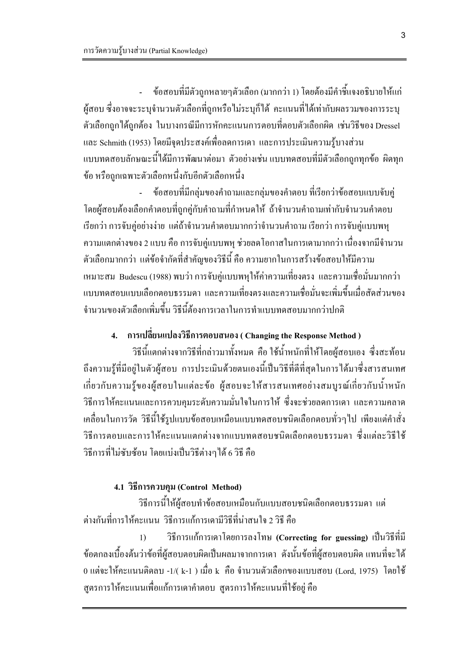ข้อสอบที่มีตัวถูกหลายๆตัวเลือก (มากกว่า 1) โดยต้องมีคำชี้แจงอธิบายให้แก่  $\mathbf{L}$ ผู้สอบ ซึ่งอาจจะระบุจำนวนตัวเลือกที่ถูกหรือไม่ระบุกี่ได้ คะแนนที่ได้เท่ากับผลรวมของการระบุ ี ตัวเลือกถูกได้ถูกต้อง ในบางกรณีมีการหักคะแนนการตอบที่ตอบตัวเลือกผิด เช่นวิธีของ Dressel และ Schmith (1953) โดยมีจุดประสงค์เพื่อลดการเดา และการประเมินความรู้บางส่วน แบบทดสอบลักษณะนี้ได้มีการพัฒนาต่อมา ตัวอย่างเช่น แบบทดสอบที่มีตัวเลือกถูกทุกข้อ ผิดทุก ข้อ หรือถูกเฉพาะตัวเลือกหนึ่งกับอีกตัวเลือกหนึ่ง

ี ข้อสอบที่มีกลุ่มของคำถามและกลุ่มของคำตอบ ที่เรียกว่าข้อสอบแบบจับคู่ L. โดยผู้สอบต้องเลือกคำตอบที่ถูกคู่กับคำถามที่กำหนดให้ ถ้าจำนวนคำถามเท่ากับจำนวนคำตอบ เรียกว่า การจับคู่อย่างง่าย แต่ถ้าจำนวนคำตอบมากกว่าจำนวนคำถาม เรียกว่า การจับคู่แบบพห ้ ความแตกต่างของ 2 แบบ คือ การจับคู่แบบพหุ ช่วยลดโอกาสในการเดามากกว่า เนื่องจากมีจำนวน ้ตัวเลือกมากกว่า แต่ข้อจำกัดที่สำคัญของวิธีนี้ คือ ความยากในการสร้างข้อสอบให้มีความ ี่ เหมาะสม Budescu (1988) พบว่า การจับคู่แบบพหุให้ค่าความเที่ยงตรง และความเชื่อมั่นมากกว่า ี แบบทดสอบแบบเลือกตอบธรรมดา และความเที่ยงตรงและความเชื่อมั่นจะเพิ่มขึ้นเมื่อสัดส่วนของ ้จำนวนของตัวเลือกเพิ่มขึ้น วิธีนี้ต้องการเวลาในการทำแบบทดสอบมากกว่าปกติ

# 4. การเปลี่ยนแปลงวิธีการตอบสนอง (Changing the Response Method)

วิธีนี้แตกต่างจากวิธีที่กล่าวมาทั้งหมด คือ ใช้น้ำหนักที่ให้โดยผู้สอบเอง ซึ่งสะท้อน ้ถึงความรู้ที่มีอยู่ในตัวผู้สอบ การประเมินด้วยตนเองนี้เป็นวิธีที่ดีที่สุดในการได้มาซึ่งสารสนเทศ เกี่ยวกับความรู้ของผู้สอบในแต่ละข้อ ผู้สอบจะให้สารสนเทศอย่างสมบูรณ์เกี่ยวกับน้ำหนัก ้วิธีการให้คะแนนและการควบคุมระดับความมั่นใจในการให้ ซึ่งจะช่วยลดการเดา และความคลาด เคลื่อนในการวัด วิธีนี้ใช้รูปแบบข้อสอบเหมือนแบบทดสอบชนิดเลือกตอบทั่วๆไป เพียงแต่คำสั่ง วิธีการตอบและการให้คะแนนแตกต่างจากแบบทดสอบชนิดเลือกตอบธรรมดา ซึ่งแต่ละวิธีใช้ วิธีการที่ไม่ซับซ้อน โดยแบ่งเป็นวิธีต่างๆ ได้ 6 วิธี คือ

### 4.1 วิธีการควบคุม (Control Method)

วิธีการนี้ให้ผู้สอบทำข้อสอบเหมือนกับแบบสอบชนิดเลือกตอบธรรมดา แต่ ้ต่างกันที่การให้คะแนน วิธีการแก้การเดามีวิธีที่น่าสนใจ 2 วิธี คือ

วิธีการแก้การเคาโดยการลงโทษ (Correcting for guessing) เป็นวิธีที่มี  $\overline{1}$ ี ข้อตกลงเบื้องต้นว่าข้อที่ผู้สอบตอบผิดเป็นผลมาจากการเดา ดังนั้นข้อที่ผู้สอบตอบผิด แทนที่จะได้ 0 แต่จะให้คะแนนติดลบ -1/( k-1 ) เมื่อ k คือ จำนวนตัวเลือกของแบบสอบ (Lord. 1975) โดยใช้ ่ สูตรการให้คะแนนเพื่อแก้การเคาคำตอบ สูตรการให้คะแนนที่ใช้อยู่ คือ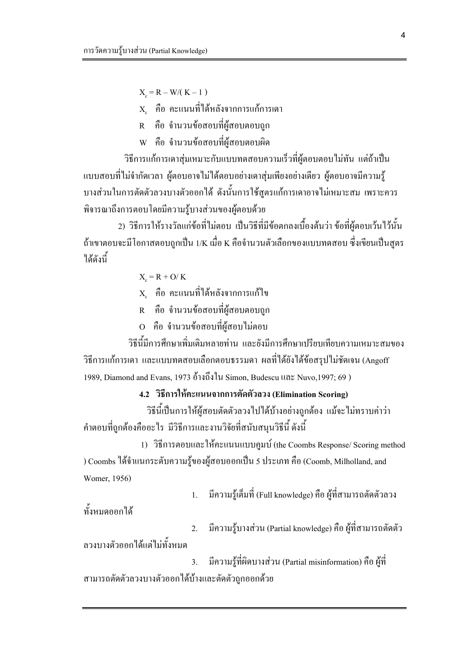$X_c = R - W/(K - 1)$ 

 $\mathbf{x}_{\text{e}}$  คือ คะแนนที่ได้หลังจากการแก้การเคา

R คือ จำนวนข้อสอบที่ผู้สอบตอบถูก

w คือ จำนวนข้อสอบที่ผ้สอบตอบผิด

วิธีการแก้การเคาสุ่มเหมาะกับแบบทดสอบความเร็วที่ผู้ตอบตอบไม่ทัน แต่ถ้าเป็น แบบสอบที่ไม่จำกัดเวลา ผู้ตอบอาจไม่ได้ตอบอย่างเดาสุ่มเพียงอย่างเดียว ผู้ตอบอาจมีความรู้ ้ บางส่วนในการตัดตัวลวงบางตัวออกได้ ดังนั้นการใช้สูตรแก้การเดาอาจไม่เหมาะสม เพราะควร พิจารณาถึงการตอบโดยมีความรู้บางส่วนของผู้ตอบด้วย

่ 2) วิธีการให้รางวัลแก่ข้อที่ไม่ตอบ เป็นวิธีที่มีข้อตกลงเบื้องต้นว่า ข้อที่ผ้ตอบเว้นไว้นั้น ถ้าเขาตอบจะมีโอกาสตอบถกเป็น 1/K เมื่อ K คือจำนวนตัวเลือกของแบบทดสอบ ซึ่งเขียนเป็นสตร ได้ดังนี้

 $X = R + Q/K$ 

 $\mathbf{x}_{\text{a}}$  คือ คะแนนที่ได้หลังจากการแก้ไข

R คือ จำนวนข้อสอบที่ผู้สอบตอบถูก

O คือ จำนวนข้อสอบที่ผู้สอบไม่ตอบ

้วิธีนี้มีการศึกษาเพิ่มเติมหลายท่าน และยังมีการศึกษาเปรียบเทียบความเหมาะสมของ ้วิธีการแก้การเดา และแบบทดสอบเลือกตอบธรรมดา ผลที่ได้ยังได้ข้อสรุปไม่ชัดเจน (Angoff 1989, Diamond and Evans, 1973 อ้างถึงใน Simon, Budescu และ Nuvo, 1997; 69)

4.2 วิธีการให้คะแนนจากการตัดตัวลวง (Elimination Scoring)

วิธีนี้เป็นการให้ผู้สอบตัดตัวลวงไปได้บ้างอย่างถูกต้อง แม้จะไม่ทราบค่าว่า ้ คำตอบที่ถูกต้องคืออะไร มีวิธีการและงานวิจัยที่สนับสนุนวิธีนี้ ดังนี้

1) วิธีการตอบและให้คะแนนแบบคูมบ์ (the Coombs Response/ Scoring method ) Coombs ใด้จำแนกระดับความรู้ของผู้สอบออกเป็น 5 ประเภท คือ (Coomb, Milholland, and Womer, 1956)

> ี มีความรู้เต็มที่ (Full knowledge) คือ ผู้ที่สามารถตัดตัวลวง  $\overline{1}$ .

ทั้งหมดออกได้

มีความรู้บางส่วน (Partial knowledge) คือ ผู้ที่สามารถตัดตัว 2.

ิลวงบางตัวออกได้แต่ไม่ทั้งหมด

ี มีความรู้ที่ผิดบางส่วน (Partial misinformation) คือ ผู้ที่  $3.$ ิสามารถตัดตัวลวงบางตัวออกได้บ้างและตัดตัวถูกออกด้วย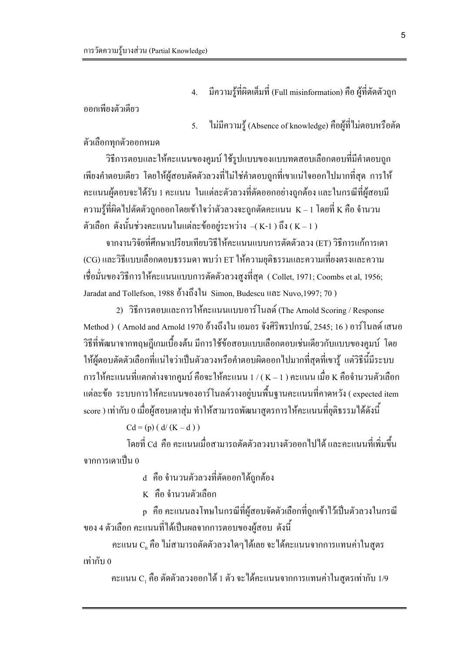มีความรู้ที่ผิดเต็มที่ (Full misinformation) คือ ผู้ที่ตัดตัวถูก  $\overline{4}$ .

้ออกเพียงตัวเดียว

ไม่มีความรู้ (Absence of knowledge) คือผู้ที่ไม่ตอบหรือตัด  $\overline{5}$ .

ตัวเลือกทุกตัวออกหมด

้วิธีการตอบและให้คะแนนของคูมบ์ ใช้รูปแบบของแบบทดสอบเลือกตอบที่มีคำตอบถูก ้เพียงคำตอบเดียว โดยให้ผู้สอบตัดตัวลวงที่ไม่ใช่คำตอบถูกที่เขาแน่ใจออกไปมากที่สุด การให้ ่ คะแนนผู้ตอบจะได้รับ 1 คะแนน ในแต่ละตัวลวงที่ตัดออกอย่างถูกต้อง และในกรณีที่ผู้สอบมี ความรู้ที่ผิดไปตัดตัวถูกออกโดยเข้าใจว่าตัวลวงจะถูกตัดคะแนน  $\rm~K$  – 1 โดยที่  $\rm~K$  คือ จำนวน ตัวเลือก ดังนั้นช่วงคะแนนในแต่ละข้ออย่ระหว่าง –( K-1 ) ถึง ( K – 1 )

ิจากงานวิจัยที่ศึกษาเปรียบเทียบวิธีให้คะแนนแบบการตัดตัวลวง (ET) วิธีการแก้การเดา (CG) และวิธีแบบเลือกตอบธรรมดา พบว่า ET ให้ความยติธรรมและความเที่ยงตรงและความ ูเชื่อมั่นของวิธีการให้คะแนนแบบการตัดตัวลวงสูงที่สุด ( Collet, 1971; Coombs et al, 1956; Jaradat and Tollefson, 1988 อ้างถึงใน Simon, Budescu และ Nuvo, 1997; 70)

2) วิธีการตอบและการให้คะแนนแบบอาร์โนลด์ (The Arnold Scoring / Response Method ) ( Arnold and Arnold 1970 อ้างถึงใน เอมอร จังศิริพรปกรณ์, 2545; 16 ) อาร์โนลด์ เสนอ ้ วิธีที่พัฒนาจากทฤษฎีเกมเบื้องต้น มีการใช้ข้อสอบแบบเลือกตอบเช่นเดียวกับแบบของคูมบ์ โดย ให้ผู้ตอบตัดตัวเลือกที่แน่ใจว่าเป็นตัวลวงหรือคำตอบผิดออกไปมากที่สุดที่เขารู้ แต่วิธีนี้มีระบบ การให้คะแนนที่แตกต่างจากคูมบ์ คือจะให้คะแนน 1 / ( K – 1 ) คะแนน เมื่อ K คือจำนวนตัวเลือก แต่ละข้อ ระบบการให้คะแนนของอาร์โนลด์วางอยู่บนพื้นฐานคะแนนที่คาดหวัง ( expected item score ) เท่ากับ 0 เมื่อผู้สอบเดาสุ่ม ทำให้สามารถพัฒนาสูตรการให้คะแนนที่ยุติธรรมได้ดังนี้

 $Cd = (p) (d/(K-d))$ 

โดยที่ Cd คือ คะแนนเมื่อสามารถตัดตัวลวงบางตัวออกไปได้ และคะแนนที่เพิ่มขึ้น จากการเดาเป็น ก

d คือ จำนวนตัวลวงที่ตัดออกได้ถูกต้อง

K คือ จำนวนตัวเลือก

p คือ คะแนนลงโทษในกรณีที่ผู้สอบจัดตัวเลือกที่ถูกเข้าไว้เป็นตัวลวงในกรณี ของ 4 ตัวเลือก คะแนนที่ได้เป็นผลจากการตอบของผู้สอบ ดังนี้

คะแนน C, คือ ไม่สามารถตัดตัวลวงใคๆ ได้เลย จะได้คะแนนจากการแทนค่าในสูตร เท่ากับ 0

คะแนน  $\text{C}_1$  คือ ตัดตัวลวงออกได้ 1 ตัว จะได้คะแนนจากการแทนค่าในสูตรเท่ากับ 1/9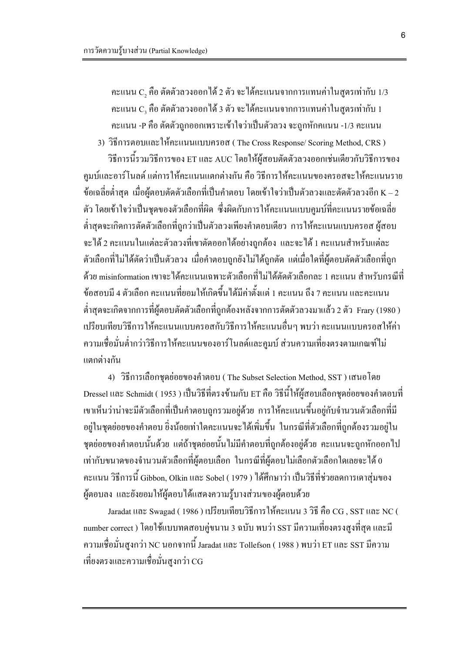คะแนน  $\mathrm{C}_2$  คือ ตัดตัวลวงออกได้ 2 ตัว จะได้คะแนนจากการแทนค่าในสูตรเท่ากับ 1/3 คะแนน C, คือ ตัดตัวลวงออกใด้ 3 ตัว จะใด้คะแนนจากการแทนค่าในสูตรเท่ากับ 1 ้ คะแนน -P คือ ตัดตัวถูกออกเพราะเข้าใจว่าเป็นตัวลวง จะถูกหักคแนน -1/3 คะแนน

3) วิธีการตอบและให้คะแนนแบบครอส (The Cross Response/ Scoring Method, CRS) ้วิธีการนี้รวมวิธีการของ ET และ AUC โดยให้ผู้สอบตัดตัวลวงออกเช่นเดียวกับวิธีการของ ้คูมบ์และอาร์โนลด์ แต่การให้คะแนนแตกต่างกัน คือ วิธีการให้คะแนนของครอสจะให้คะแนนราย ี ข้อเฉลี่ยต่ำสุด เมื่อผู้ตอบตัดตัวเลือกที่เป็นคำตอบ โดยเข้าใจว่าเป็นตัวลวงและตัดตัวลวงอีก K – 2 ตัว โดยเข้าใจว่าเป็นชุดของตัวเลือกที่ผิด ซึ่งผิดกับการให้คะแนนแบบคูมบ์ที่คะแนนรายข้อเฉลี่ย ้ต่ำสดจะเกิดการตัดตัวเลือกที่ถกว่าเป็นตัวลวงเพียงคำตอบเดียว การให้คะแนนแบบครอส ผ้สอบ ้จะได้ 2 คะแนนในแต่ละตัวลวงที่เขาตัดออกได้อย่างถกต้อง และจะได้ 1 คะแนนสำหรับแต่ละ ้ตัวเลือกที่ไม่ได้ตัดว่าเป็นตัวลวง เมื่อคำตอบถกยังไม่ได้ถกตัด แต่เมื่อใดที่ผ้ตอบตัดตัวเลือกที่ถก ี ด้วย misinformation เขาจะได้คะแนนเฉพาะตัวเลือกที่ไม่ได้ตัดตัวเลือกละ 1 คะแนน สำหรับกรณีที่ ี ข้อสอบมี 4 ตัวเลือก คะแนนที่ยอมให้เกิดขึ้นได้มีค่าตั้งแต่ 1 คะแนน ถึง 7 คะแนน และคะแนน ี่ ต่ำสดจะเกิดจากการที่ผู้ตอบตัดตัวเลือกที่ถกต้องหลังจากการตัดตัวลวงมาแล้ว 2 ตัว Frary (1980 ) ้ เปรียบเทียบวิธีการให้คะแนนแบบครอสกับวิธีการให้คะแนนอื่นๆ พบว่า คะแนนแบบครอสให้ค่า ่ ความเชื่อมั่นต่ำกว่าวิธีการให้คะแนนของอาร์โนลด์และคูมบ์ ส่วนความเที่ยงตรงตามเกณฑ์ไม่ แตกต่างกัน

4) วิธีการเลือกชุดย่อยของคำตอบ (The Subset Selection Method, SST) เสนอโดย Dressel และ Schmidt ( 1953 ) เป็นวิธีที่ตรงข้ามกับ ET คือ วิธีนี้ให้ผู้สอบเลือกชุดย่อยของคำตอบที่ ้เขาเห็นว่าน่าจะมีตัวเลือกที่เป็นคำตอบถูกรวมอยู่ด้วย การให้คะแนนขึ้นอยู่กับจำนวนตัวเลือกที่มี ้อยู่ในชุดย่อยของกำตอบ ยิ่งน้อยเท่าใดกะแนนจะได้เพิ่มขึ้น ในกรณีที่ตัวเลือกที่ถูกต้องรวมอยู่ใน ิชุดย่อยของคำตอบนั้นด้วย แต่ถ้าชุดย่อยนั้นไม่มีคำตอบที่ถูกต้องอยู่ด้วย คะแนนจะถูกหักออกไป เท่ากับขนาดของจำนวนตัวเลือกที่ผู้ตอบเลือก ในกรณีที่ผู้ตอบใม่เลือกตัวเลือกใดเลยจะได้ 0 คะแนน วิธีการนี้ Gibbon, Olkin และ Sobel ( 1979 ) ได้ศึกษาว่า เป็นวิธีที่ช่วยลดการเดาสุ่มของ ผู้ตอบลง และยังยอมให้ผู้ตอบได้แสดงความรู้บางส่วนของผู้ตอบด้วย

Jaradat และ Swagad (1986) เปรียบเทียบวิธีการให้คะแนน 3 วิธี คือ CG, SST และ NC ( number correct ) โดยใช้แบบทดสอบคู่ขนาน 3 ฉบับ พบว่า SST มีความเที่ยงตรงสูงที่สุด และมี ี ความเชื่อมั่นสูงกว่า NC นอกจากนี้ Jaradat และ Tollefson ( 1988 ) พบว่า ET และ SST มีความ เที่ยงตรงและความเชื่อมั่นสงกว่า CG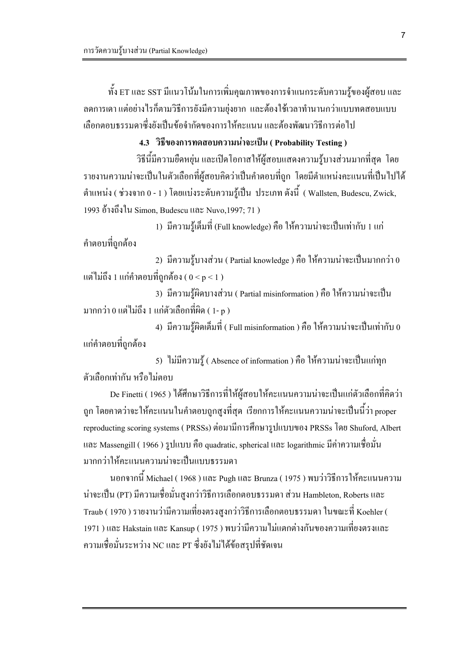ี ทั้ง ET และ SST มีแนวโน้มในการเพิ่มคุณภาพของการจำแนกระดับความรู้ของผู้สอบ และ ิลดการเดา แต่อย่างไรก็ตามวิธีการยังมีความยุ่งยาก และต้องใช้เวลาทำนานกว่าแบบทดสอบแบบ เลือกตอบธรรมดาซึ่งยังเป็นข้อจำกัดของการให้คะแนน และต้องพัฒนาวิธีการต่อไป

#### 4.3 วิธีของการทดสอบความน่าจะเป็น (Probability Testing)

วิธีนี้มีความยืดหยุ่น และเปิดโอกาสให้ผู้สอบแสดงความรู้บางส่วนมากที่สุด โดย ้รายงานความน่าจะเป็นในตัวเลือกที่ผู้สอบคิดว่าเป็นคำตอบที่ถูก โดยมีตำแหน่งคะแนนที่เป็นไปได้ ี ตำแหน่ง ( ช่วงจาก 0 - 1 ) โดยแบ่งระดับความรู้เป็น ประเภท ดังนี้ ( Wallsten, Budescu, Zwick, 1993 อ้างถึงใน Simon, Budescu และ Nuvo, 1997; 71)

1) มีความรู้เต็มที่ (Full knowledge) คือ ให้ความน่าจะเป็นเท่ากับ 1 แก่ ้คำตอบที่ถกด้อง

2) มีความรู้บางส่วน ( Partial knowledge ) คือ ให้ความน่าจะเป็นมากกว่า 0 แต่ไม่ถึง 1 แก่คำตอบที่ถูกต้อง ( $0 \le p \le 1$  )

3) มีความรู้ผิดบางส่วน ( Partial misinformation ) คือ ให้ความน่าจะเป็น ้มากกว่า 0 แต่ไม่ถึง 1 แก่ตัวเลือกที่ผิด ( 1- p )

4) มีความรู้ผิดเต็มที่ ( Full misinformation ) คือ ให้ความน่าจะเป็นเท่ากับ 0 แก่คำตอบที่ถูกต้อง

5) ไม่มีความรู้ (Absence of information ) คือ ให้ความน่าจะเป็นแก่ทุก ้ตัวเลือกเท่ากัน หรือไม่ตอบ

De Finetti ( 1965 ) ได้ศึกษาวิธีการที่ให้ผู้สอบให้คะแนนความน่าจะเป็นแก่ตัวเลือกที่คิดว่า ถูก โดยกาดว่าจะให้คะแนนในกำตอบถูกสูงที่สุด เรียกการให้คะแนนความน่าจะเป็นนี้ว่า proper reproducting scoring systems (PRSSs) ต่อมามีการศึกษารูปแบบของ PRSSs โดย Shuford, Albert และ Massengill (1966) รูปแบบ คือ quadratic, spherical และ logarithmic มีค่าความเชื่อมั่น มากกว่าให้คะแนนความน่าจะเป็นแบบธรรมดา

นอกจากนี้ Michael ( 1968 ) และ Pugh และ Brunza ( 1975 ) พบว่าวิธีการให้คะแนนความ น่าจะเป็น (PT) มีความเชื่อมั่นสูงกว่าวิธีการเลือกตอบธรรมดา ส่วน Hambleton, Roberts และ Traub ( 1970 ) รายงานว่ามีความเที่ยงตรงสูงกว่าวิธีการเลือกตอบธรรมดา ในขณะที่ Koehler ( 1971 ) และ Hakstain และ Kansup ( 1975 ) พบว่ามีความไม่แตกต่างกันของความเที่ยงตรงและ ี ความเชื่อมั่นระหว่าง NC และ PT ซึ่งยังไม่ได้ข้อสรุปที่ชัดเจน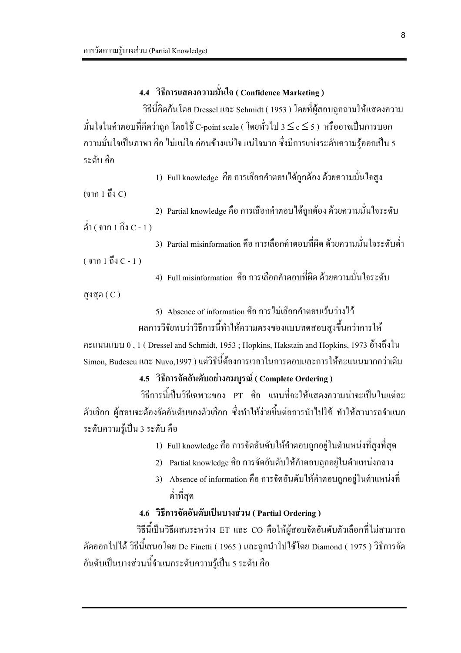# 4.4 วิธีการแสดงความมั่นใจ (Confidence Marketing)

วิธีนี้คิดค้นโดย Dressel และ Schmidt ( 1953 ) โดยที่ผู้สอบถูกถามให้แสดงความ มั่นใจในคำตอบที่คิดว่าถูก โดยใช้ C-point scale ( โดยทั่วไป 3  $\le$  c  $\le$  5 ) หรืออาจเป็นการบอก ี ความมั่นใจเป็นภาษา คือ ไม่แน่ใจ ค่อนข้างแน่ใจ แน่ใจมาก ซึ่งมีการแบ่งระดับความรู้ออกเป็น 5 ระดับ คือ

1) Full knowledge คือ การเลือกคำตอบใด้ถูกต้อง ด้วยความมั่นใจสูง

 $($ จาก 1 ถึง $C$ )

2) Partial knowledge คือ การเลือกคำตอบได้ถูกต้อง ด้วยความมั่นใจระดับ ต่ำ ( จาก 1 ถึง  $C - 1$  )

3) Partial misinformation คือ การเลือกคำตอบที่ผิด ด้วยความมั่นใจระดับต่ำ  $($  จาก 1 ถึง  $C - 1$ )

4) Full misinformation คือ การเลือกคำตอบที่ผิด ด้วยความมั่นใจระดับ

สูงสุด $(C)$ 

5) Absence of information คือ การไม่เลือกคำตอบเว้นว่างไว้

ี ผลการวิจัยพบว่าวิธีการนี้ทำให้ความตรงของแบบทดสอบสูงขึ้นกว่าการให้

คะแนนแบบ 0, 1 (Dressel and Schmidt, 1953; Hopkins, Hakstain and Hopkins, 1973 อ้างถึงใน - Simon. Budescu และ Nuvo.1997 ) แต่วิธีนี้ต้องการเวลาในการตอบและการให้คะแนนมากกว่าเดิม

4.5 วิธีการจัดอันดับอย่างสมบรณ์ ( Complete Ordering )

้วิธีการนี้เป็นวิธีเฉพาะของ PT คือ แทนที่จะให้แสดงความน่าจะเป็นในแต่ละ ้ตัวเลือก ผ้สอบจะต้องจัดอันดับของตัวเลือก ซึ่งทำให้ง่ายขึ้นต่อการนำไปใช้ ทำให้สามารถจำแนก ระดับความร้เป็น 3 ระดับ คือ

1) Full knowledge คือ การจัดอันดับให้คำตอบถกอย่ในตำแหน่งที่สงที่สด

- 2) Partial knowledge คือ การจัดอันดับให้คำตอบถูกอยู่ในตำแหน่งกลาง
- 3) Absence of information คือ การจัดอันดับให้คำตอบถูกอยู่ในตำแหน่งที่ ้ต่ำที่สด

#### 4.6 วิธีการจัดอันดับเป็นบางส่วน ( Partial Ordering )

วิธีนี้เป็นวิธีผสมระหว่าง ET และ CO คือให้ผู้สอบจัดอันดับตัวเลือกที่ไม่สามารถ ี ตัดออกไปได้ วิธีนี้เสนอโดย De Finetti ( 1965 ) และถูกนำไปใช้โดย Diamond ( 1975 ) วิธีการจัด อันคับเป็นบางส่วนนี้จำแนกระคับความรู้เป็น 5 ระคับ คือ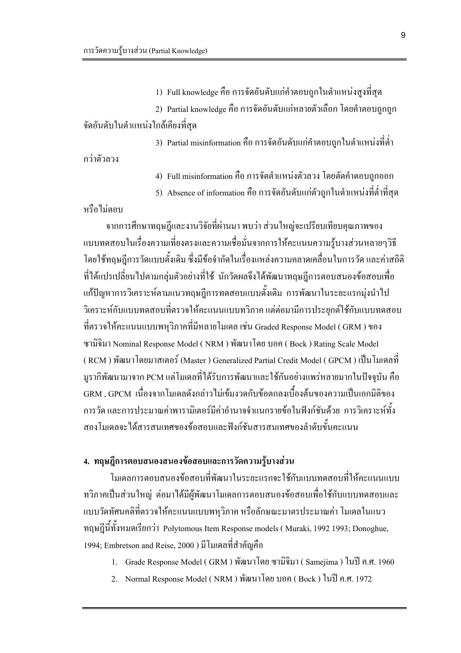1) Full knowledge คือ การจัดอันดับแก่คำตอบถูกในตำแหน่งสูงที่สุด

2) Partial knowledge คือ การจัดอันดับแก่หลายตัวเลือก โดยคำตอบถูกถูก จัดอันดับในตำแหน่งใกล้เคียงที่สด

3) Partial misinformation คือ การจัดอันดับแก่คำตอบถูกในตำแหน่งที่ต่ำ

กว่าตัวลวง

4) Full misinformation คือ การจัดตำแหน่งตัวลวง โดยตัดคำตอบถูกออก

5) Absence of information คือ การจัดอันดับแก่ตัวถูกในตำแหน่งที่ต่ำที่สุด

หรือไม่ตอบ

ิจากการศึกษาทถษฎีและงานวิจัยที่ผ่านมา พบว่า ส่วนใหญ่จะเปรียบเทียบคณภาพของ แบบทดสอบในเรื่องความเที่ยงตรงและความเชื่อมั่นจากการให้คะแนนความรู้บางส่วนหลายๆวิธี โดยใช้ทฤษฎีการวัดแบบดั้งเดิม ซึ่งมีข้อจำกัดในเรื่องแหล่งความคลาดเคลื่อนในการวัด และค่าสถิติ ้ที่ได้แปรเปลี่ยนไปตามกลุ่มตัวอย่างที่ใช้ นักวัดผลจึงได้พัฒนาทฤษฎีการตอบสนองข้อสอบเพื่อ ้แก้ปัญหาการวิเคราะห์ตามแนวทฤษฎีการทดสอบแบบดั้งเดิม การพัฒนาในระยะแรกมุ่งนำไป วิเคราะห์กับแบบทดสอบที่ตรวจให้คะแนนแบบทวิภาค แต่ต่อมามีการประยุกต์ใช้กับแบบทดสอบ ที่ตรวจให้คะแนนแบบพหุวิภาคที่มีหลายโมเดล เช่น Graded Response Model ( GRM ) ของ ซามิจิมา Nominal Response Model (NRM) พัฒนาโดย บอก (Bock) Rating Scale Model (RCM) พัฒนาโดยมาสเตอร์ (Master) Generalized Partial Credit Model ( GPCM ) เป็นโมเคลที่ ึ้มูรากิพัฒนามาจาก PCM แต่โมเคลที่ได้รับการพัฒนาและใช้กันอย่างแพร่หลายมากในปัจจุบัน คือ GRM . GPCM เนื่องจากโมเดลดังกล่าวไม่เข้มงวดกับข้อตกลงเบื้องต้นของความเป็นเอกมิติของ ึการวัด และการประมาณค่าพารามิเตอร์มีค่าอำนาจจำแนกรายข้อในฟังก์ชันด้วย การวิเคราะห์ทั้ง ิสองโมเดลจะได้สารสนเทศของข้อสอบและฟังก์ชันสารสนเทศของลำดับขั้นคะแนน

### 4. ทฤษฎีการตอบสนองสนองข้อสอบและการวัดความรู้บางส่วน

โมเคลการตอบสนองข้อสอบที่พัฒนาในระยะแรกจะใช้กับแบบทดสอบที่ให้คะแนนแบบ ทวิภาคเป็นส่วนใหญ่ ต่อมาใด้มีผู้พัฒนาโมเดลการตอบสนองข้อสอบเพื่อใช้กับแบบทดสอบและ แบบวัดทัศนคติที่ตรวจให้คะแนนแบบพหฺวิภาค หรือลักษณะมาตรประมาณค่า โมเดลในแนว ทฤษฎีนี้ทั้งหมดเรียกว่า Polytomous Item Response models ( Muraki, 1992 1993; Donoghue, 1994; Embretson and Reise, 2000 ) มีโมเคลที่สำคัญคือ

- 1. Grade Response Model (GRM) พัฒนาโดย ซามิจิมา (Samejima) ในปี ค.ศ. 1960
- 2. Normal Response Model (NRM) พัฒนาโดย บอก (Bock) ในปี ค.ศ. 1972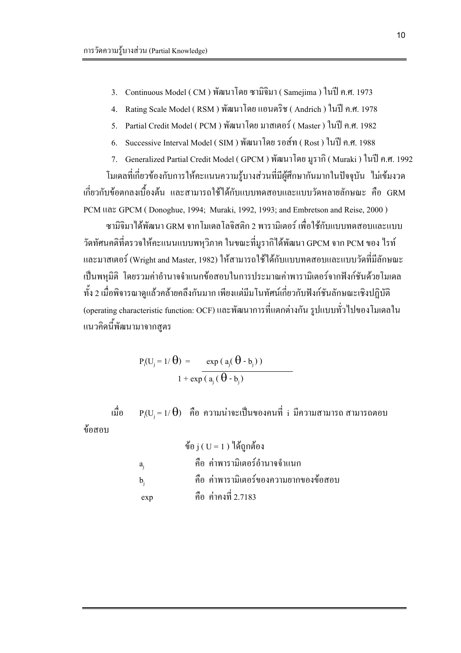- Continuous Model ( CM ) พัฒนาโดย ซามิจิมา ( Samejima ) ในปี ค.ศ. 1973  $\mathcal{E}$
- Rating Scale Model (RSM) พัฒนาโดย แอนดริช (Andrich) ในปี ค.ศ. 1978  $4.$
- Partial Credit Model (PCM) พัฒนาโคย มาสเตอร์ (Master) ในปี ค.ศ. 1982  $5<sub>1</sub>$
- Successive Interval Model (SIM) พัฒนาโดย รอส์ท (Rost) ในปี ค.ศ. 1988 6.
- 7. Generalized Partial Credit Model (GPCM) พัฒนาโดย มูรากิ ( Muraki ) ในปี ค.ศ. 1992

โมเดลที่เกี่ยวข้องกับการให้คะแนนความรู้บางส่วนที่มีผู้ศึกษากันมากในปัจจุบัน "ไม่เข้มงวด ้เกี่ยวกับข้อตกลงเบื้องต้น และสามารถใช้ได้กับแบบทดสอบและแบบวัดหลายลักษณะ คือ GRM PCM IIaz GPCM (Donoghue, 1994; Muraki, 1992, 1993; and Embretson and Reise, 2000)

.<br>ซาบิจิบา ได้พัฒบา GRM จากโบเดกโกจิสติก 2 พาราบิเตอร์ เพื่อใช้กับแบบทดสอบและแบบ วัดทัศนคติที่ตรวจให้คะแนนแบบพหุวิภาค ในขณะที่มูรากิได้พัฒนา GPCM จาก PCM ของ ไรท์ และมาสเตอร์ (Wright and Master, 1982) ให้สามารถใช้ได้กับแบบทดสอบและแบบวัดที่มีลักษณะ ้เป็นพหมิติ โดยรวมค่าอำนาจจำแนกข้อสอบในการประมาณค่าพารามิเตอร์จากฟังก์ชันด้วยโมเคล ้ ทั้ง 2 เมื่อพิจารณาดูแล้วคล้ายคลึงกันมาก เพียงแต่มีมโนทัศน์เกี่ยวกับฟังก์ชันลักษณะเชิงปฏิบัติ (operating characteristic function: OCF) และพัฒนาการที่แตกต่างกัน รูปแบบทั่วไปของโมเดลใน แนวคิดนี้พัฒนามาจากสูตร

$$
P_i(U_j = 1/\theta) = \frac{\exp (a_j(\theta - b_j))}{1 + \exp (a_i(\theta - b_i))}
$$

 $P_i(U_i = 1/\Theta)$  คือ ความน่าจะเป็นของคนที่ i มีความสามารถ สามารถตอบ ้เบื้อ ข้อสอบ

> ข้อ $i$  (  $U = 1$  ) ได้ถกต้อง ้คือ ค่าพารามิเตอร์อำนาจจำแนก  $a_i$ คือ ค่าพารามิเตอร์ของความยากของข้อสอบ  $\mathbf{b}_1$ คือ ค่าคงที่ 2.7183  $exp$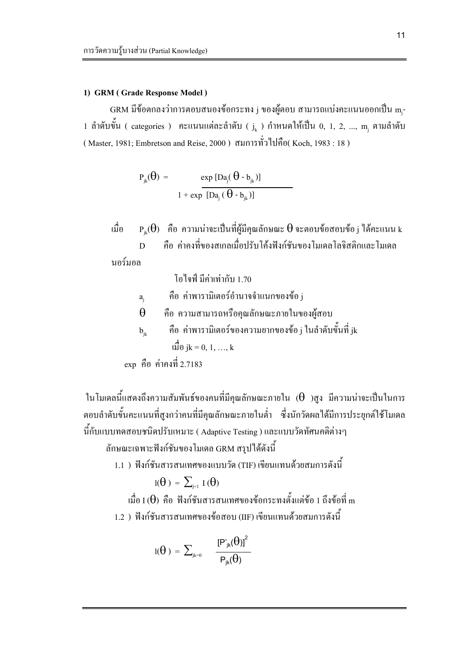#### 1) GRM (Grade Response Model)

GRM มีข้อตกลงว่าการตอบสนองข้อกระทง j ของผู้ตอบ สามารถแบ่งคะแนนออกเป็น m-1 ถำดับขั้น ( categories ) คะแนนแต่ละลำดับ (  $j_{k}$  ) กำหนดให้เป็น 0, 1, 2, ..., m, ตามลำดับ (Master, 1981; Embretson and Reise, 2000) สมการทั่วไปคือ(Koch, 1983 : 18)

$$
P_{jk}(\theta) = \frac{\exp [Da_j(\theta - b_{jk})]}{1 + \exp [Da_j(\theta - b_{jk})]}
$$

 $\mathrm{P}_{ik}(\theta)$  คือ ความน่าจะเป็นที่ผู้มีคุณลักษณะ  $\theta$  จะตอบข้อสอบข้อ j ได้คะแนน k ้เมื่อ ้คือ ค่าคงที่ของสเกลเมื่อปรับโค้งฟังก์ชันของโมเดลโลจิสติกและโมเดล  $\overline{D}$ 

นอร์มอล

 $a_i$ 

โอไจฟ์ มีค่าเท่ากับ 1.70

- คือ ค่าพารามิเตอร์อำนาจจำแนกของข้อ j
- คือ ความสามารถหรือคุณลักษณะภายในของผู้สอบ  $\theta$
- ้คือ ค่าพารามิเตอร์ของความยากของข้อ j ในลำดับขั้นที่ jk  $b_{ik}$  $\downarrow$ นปี้อ jk = 0, 1, ..., k

ในโมเดลนี้แสดงถึงความสัมพันธ์ของคนที่มีคุณลักษณะภายใน  $(\theta$  )สูง มีความน่าจะเป็นในการ ้ตอบลำดับขั้นคะแนนที่สูงกว่าคนที่มีคุณลักษณะภายในต่ำ ซึ่งนักวัดผลได้มีการประยุกต์ใช้โมเดล นี้กับแบบทดสอบชนิดปรับเหมาะ ( Adaptive Testing ) และแบบวัดทัศนคติต่างๆ

ลักษณะเฉพาะฟังก์ชันของโมเดล GRM สรุปได้ดังนี้

1.1 ) ฟังก์ชันสารสนเทศของแบบวัด (TIF) เขียนแทนด้วยสมการดังนี้

$$
\mathrm{l}(\Theta\,)\,=\,\sum\nolimits_{j=1}\,I\,(\Theta)
$$

 $\vec{\mathfrak{g}}$ อ I ( $\Theta$ ) คือ ฟังก์ชันสารสนเทศของข้อกระทงตั้งแต่ข้อ 1 ถึงข้อที่ m 1.2 ) ฟังก์ชันสารสนเทศของข้อสอบ (IIF) เขียนแทนด้วยสมการดังนี้

$$
l(\theta) = \sum\nolimits_{j k = 0} {\frac{{\left[ {{P'}_{jk}}(\theta ) \right]}^{2}}{{{P}_{jk}}(\theta )}}
$$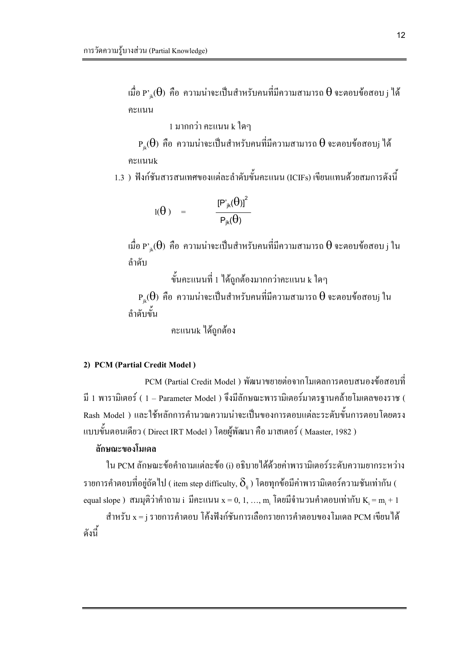เมื่อ  $\mathrm{P'}_{jk}(\theta)$  คือ ความน่าจะเป็นสำหรับคนที่มีความสามารถ  $\theta$  จะตอบข้อสอบ  $_j$  ได้ คะแนน

1 มากกว่า คะแนน k ใดๆ

 $\mathrm{P}_{\textrm{\tiny{ik}}}(\theta)$  คือ ความน่าจะเป็นสำหรับคนที่มีความสามารถ  $\theta$  จะตอบข้อสอบ $_{\textrm{\tiny{j}}}$  ได้ คะแนนk

1.3 ) ฟังก์ชันสารสนเทศของแต่ละลำดับขั้นคะแนน (ICIFs) เขียนแทนด้วยสมการดังนี้

$$
I(\theta) = \frac{[P'_{jk}(\theta)]^2}{P_{jk}(\theta)}
$$

 $\hat{\mathfrak{su}}$ อ P' $_{\mathbb{ik}}(\Theta)$  คือ ความน่าจะเป็นสำหรับคนที่มีความสามารถ  $\Theta$  จะตอบข้อสอบ $_{\text{j}}$  ใน ลำดับ

์ ขั้นคะแนนที่ 1 ได้ถูกต้องมากกว่าคะแนน k ใดๆ

 $\mathrm{P_{ik}(\theta)}$  คือ ความน่าจะเป็นสำหรับคนที่มีความสามารถ  $\theta$  จะตอบข้อสอบ $_{\rm j}$  ใน ้<br>ถ้ำดับขั้น

คะแนนk ได้ถกต้อง

#### 2) PCM (Partial Credit Model)

PCM (Partial Credit Model ) พัฒนาขยายต่อจากโมเคลการตอบสนองข้อสอบที่ มี 1 พารามิเตอร์ ( 1 – Parameter Model ) จึงมีลักษณะพารามิเตอร์มาตรฐานคล้ายโมเคลของราช ( Rash Model ) และใช้หลักการคำนวณความน่าจะเป็นของการตอบแต่ละระดับขั้นการตอบโดยตรง แบบขั้นตอนเดียว ( Direct IRT Model ) โดยผู้พัฒนา คือ มาสเตอร์ ( Maaster, 1982 )

#### ลักษณะของโมเดล

ใน PCM ลักษณะข้อคำถามแต่ละข้อ (i) อธิบายใด้ด้วยค่าพารามิเตอร์ระดับความยากระหว่าง รายการคำตอบที่อยู่ถัดไป ( item step difficulty,  $\delta_\text{\tiny{ii}}$  ) โดยทุกข้อมีค่าพารามิเตอร์ความชันเท่ากัน ( equal slope) สมมุติว่าคำถาม i มีคะแนน  $x = 0, 1, ..., m$  โดยมีจำนวนคำตอบเท่ากับ  $K_i = m_i + 1$ 

ี สำหรับ x = ¡ รายการคำตอบ โค้งฟังก์ชันการเลือกรายการคำตอบของโมเดล PCM เขียนได้ ดังนี้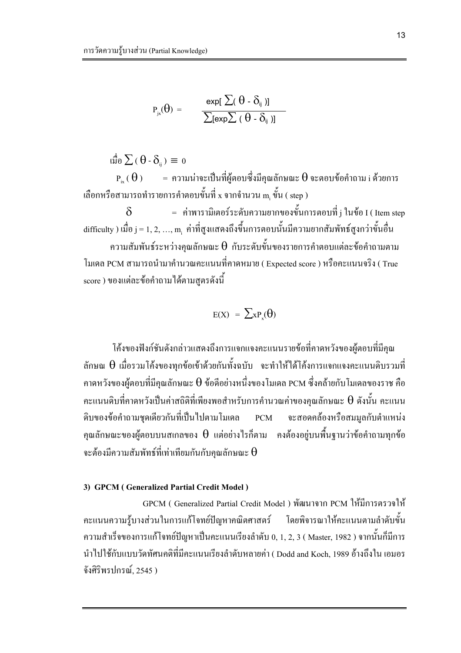$$
P_{jx}(\theta) = \frac{\exp[\sum(\theta - \delta_{ij})]}{\sum[\exp[\sum(\theta - \delta_{ij})]}
$$

ιΰο Σ (θ - δ<sub>ii</sub>) = 0

 $P_{i_{\infty}}(\theta) = \theta$ ามน่าจะเป็นที่ผู้ตอบซึ่งมีคุณลักษณะ  $\theta$  จะตอบข้อคำถาม i ด้วยการ เลือกหรือสามารถทำรายการคำตอบขั้นที่ x จากจำนวน m ขั้น ( step )

= ค่าพารามิเตอร์ระดับความยากของขั้นการตอบที่ j ในข้อ I ( Item step  $\delta$ difficulty ) เมื่อ  $j = 1, 2, ..., m$  ค่าที่สูงแสดงถึงขึ้นการตอบนั้นมีความยากสัมพัทธ์สูงกว่าขั้นอื่น

ความสัมพันธ์ระหว่างคุณลักษณะ  $\boldsymbol{\theta}$  กับระดับขั้นของรายการคำตอบแต่ละข้อคำถามตาม ์ โมเดล PCM สามารถนำมาคำนวณคะแนนที่คาดหมาย ( Expected score ) หรือคะแนนจริง ( True score ) ของแต่ละข้อคำถามได้ตามสูตรดังนี้

$$
E(X) = \sum x P_x(\theta)
$$

โค้งของฟังก์ชันดังกล่าวแสดงถึงการแจกแจงคะแนนรายข้อที่คาดหวังของผ้ตอบที่มีคณ ลักษณ  $\theta$  เมื่อรวมโค้งของทุกข้อเข้าด้วยกันทั้งฉบับ จะทำให้ได้โค้งการแจกแจงคะแนนดิบรวมที่ คาดหวังของผู้ตอบที่มีคุณลักษณะ  $\theta$  ข้อดีอย่างหนึ่งของโมเดล PCM ซึ่งคล้ายกับโมเดลของราช คือ คะแนนดิบที่คาดหวังเป็นค่าสถิติที่เพียงพอสำหรับการคำนวณค่าของคุณลักษณะ  $\bm{\theta}$  ดังนั้น คะแนน ี คิบของข้อคำถามชุดเดียวกันที่เป็นไปตามโมเดล PCM จะสอดคล้องหรือสมมูลกับตำแหน่ง คุณลักษณะของผู้ตอบบนสเกลของ  $\theta$  แต่อย่างไรก็ตาม คงต้องอยู่บนพื้นฐานว่าข้อคำถามทุกข้อ จะต้องมีความสัมพัทธ์ที่เท่าเทียมกันกับคุณลักษณะ  $\boldsymbol{\theta}$ 

#### 3) GPCM (Generalized Partial Credit Model)

GPCM ( Generalized Partial Credit Model ) พัฒนาจาก PCM ให้มีการตรวจให้ ้ คะแนนความรู้บางส่วนในการแก้โจทย์ปัญหาคณิตศาสตร์ โดยพิจารณาให้คะแนนตามลำดับขั้น ี ความสำเร็จของการแก้โจทย์ปัญหาเป็นคะแนนเรียงลำดับ 0, 1, 2, 3 ( Master, 1982 ) จากนั้นก็มีการ นำไปใช้กับแบบวัดทัศนคติที่มีคะแนนเรียงลำดับหลายค่า ( Dodd and Koch, 1989 อ้างถึงใน เอมอร จังศิริพรปกรณ์, 2545 )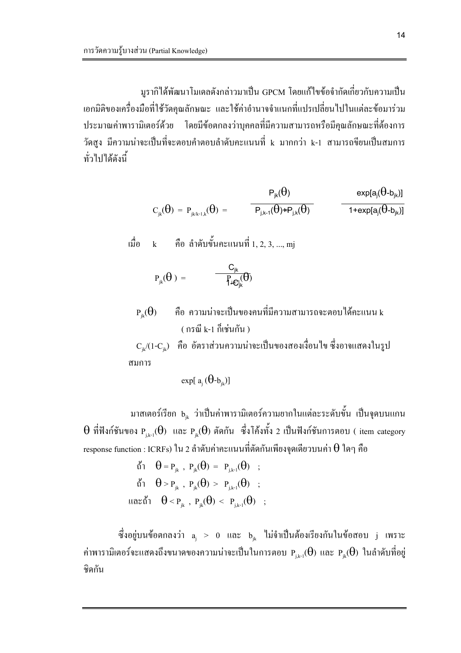้มูรากิได้พัฒนาโมเคลดังกล่าวมาเป็น GPCM โดยแก้ไขข้อจำกัดเกี่ยวกับความเป็น ้เอกมิติของเครื่องมือที่ใช้วัดคุณลักษณะ และใช้ค่าอำนาจจำแนกที่แปรเปลี่ยนไปในแต่ละข้อมาร่วม ี ประมาณค่าพารามิเตอร์ด้วย โดยมีข้อตกลงว่าบุคคลที่มีความสามารถหรือมีคุณลักษณะที่ต้องการ วัดสูง มีความน่าจะเป็นที่จะตอบคำตอบลำดับคะแนนที่ k มากกว่า k-1 สามารถขียนเป็นสมการ ทั่วไปได้ดังนี้

$$
C_{jk}(\theta) = P_{jk/k-1,k}(\theta) = \overbrace{\qquad \qquad P_{jk}(\theta) \qquad \qquad \text{exp}[a_j(\theta-b_{jk})]}^{\text{exp}[a_j(\theta)-b_{jk})]}
$$

$$
\begin{array}{lll} \stackrel{4}{10} & k & \stackrel{5}{10} & \stackrel{5}{10} & \stackrel{5}{10} & \stackrel{1}{10} & \stackrel{1}{10} & \stackrel{1}{10} & \stackrel{1}{10} & \stackrel{1}{10} & \stackrel{1}{10} & \stackrel{1}{10} & \stackrel{1}{10} & \stackrel{1}{10} & \stackrel{1}{10} & \stackrel{1}{10} & \stackrel{1}{10} & \stackrel{1}{10} & \stackrel{1}{10} & \stackrel{1}{10} & \stackrel{1}{10} & \stackrel{1}{10} & \stackrel{1}{10} & \stackrel{1}{10} & \stackrel{1}{10} & \stackrel{1}{10} & \stackrel{1}{10} & \stackrel{1}{10} & \stackrel{1}{10} & \stackrel{1}{10} & \stackrel{1}{10} & \stackrel{1}{10} & \stackrel{1}{10} & \stackrel{1}{10} & \stackrel{1}{10} & \stackrel{1}{10} & \stackrel{1}{10} & \stackrel{1}{10} & \stackrel{1}{10} & \stackrel{1}{10} & \stackrel{1}{10} & \stackrel{1}{10} & \stackrel{1}{10} & \stackrel{1}{10} & \stackrel{1}{10} & \stackrel{1}{10} & \stackrel{1}{10} & \stackrel{1}{10} & \stackrel{1}{10} & \stackrel{1}{10} & \stackrel{1}{10} & \stackrel{1}{10} & \stackrel{1}{10} & \stackrel{1}{10} & \stackrel{1}{10} & \stackrel{1}{10} & \stackrel{1}{10} & \stackrel{1}{10} & \stackrel{1}{10} & \stackrel{1}{10} & \stackrel{1}{10} & \stackrel{1}{10} & \stackrel{1}{10} & \stackrel{1}{10} & \stackrel{1}{10} & \stackrel{1}{10} & \stackrel{1}{10} & \stackrel{1}{10} & \stackrel{1}{10} & \stackrel{1}{10} & \stackrel{1}{10} & \stackrel{1}{10} & \stackrel{1}{10} & \stackrel{1}{10} & \stackrel{1}{10} & \stackrel{1}{10}
$$

$$
\mathrm{P}_{\mathrm{jk}}(\theta\,) \;=\; \hspace{1cm} \frac{C_{\mathrm{jk}}}{\int \hspace{-1.5mm} \mathrm{d} \mathcal{C}_{\mathrm{jk}}^{\mathrm{r}}} \hspace{-1.5mm} \big(\hspace{-1.5mm}\theta\hspace{-1.5mm}\big)
$$

้คือ ความน่าจะเป็นของคนที่มีความสามารถจะตอบได้คะแนน k  $P_{ik}(\theta)$ ( กรณี k-1 กี้เช่นกับ )

 $\rm\,C_{u}/(1-C_{u})$  คือ อัตราส่วนความน่าจะเป็นของสองเงื่อนไข ซึ่งอาจแสดงในรูป สมการ

$$
\exp[\;a_{i}\,(\theta\text{-}\mathbf{b}_{ik})]
$$

มาสเตอร์เรียก ь<sub>่่ะ</sub> ว่าเป็นค่าพารามิเตอร์ความยากในแต่ละระดับขั้น เป็นจุดบนแกน  $\theta$  ที่ฟังก์ชันของ  $P_{i,k-1}(\theta)$  และ  $P_{i k}(\theta)$  ตัดกัน ซึ่งโค้งทั้ง 2 เป็นฟังก์ชันการตอบ (item category response function : ICRFs) ใน 2 ลำดับค่าคะแนนที่ตัดกันเพียงจดเดียวบนค่า  $\theta$  ใดๆ คือ

> $\stackrel{\circ}{\mathfrak{h}}$ <br>  $0 = P_{ik}$ ,  $P_{ik}(\theta) = P_{ik-1}(\theta)$ ; ถ้ำ  $\theta > P_{ik}$ ,  $P_{ik}(\theta) > P_{ik-1}(\theta)$ ; และถ้ำ  $\theta < P_{ik}$ ,  $P_{ik}(\theta) < P_{ik-1}(\theta)$ ;

ซึ่งอยู่บนข้อตกลงว่า <sub>a,</sub> > 0 และ b<sub>ik</sub> ไม่จำเป็นต้องเรียงกันในข้อสอบ j เพราะ ค่าพารามิเตอร์จะแสดงถึงขนาดของความน่าจะเป็นในการตอบ  $_{\rm p_{\rm j, k-1}}(\theta)$  และ  $_{\rm p_{\rm jk}}(\theta)$  ในลำดับที่อยู่ ชิดกัน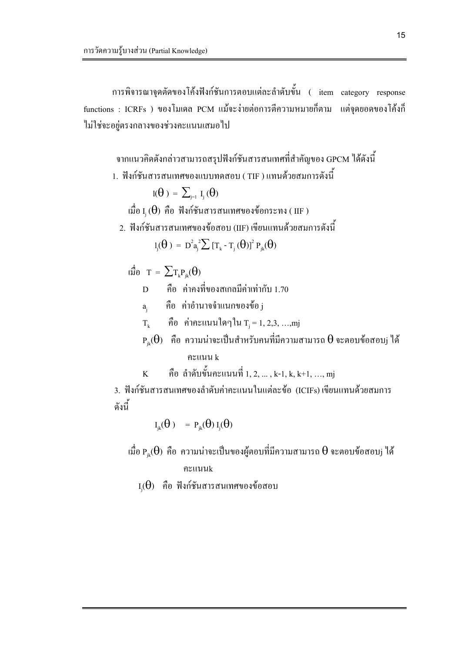การพิจารณาจุดตัดของโค้งฟังก์ชันการตอบแต่ละลำดับขั้น ( item category response functions : ICRFs ) ของโมเดล PCM แม้จะง่ายต่อการตีความหมายกี่ตาม แต่จุดยอดของโค้งก็ ไม่ใช่จะอยู่ตรงกลางของช่วงคะแนนเสมอไป

ิ จากแนวคิดดังกล่าวสามารถสรุปฟังก์ชันสารสนเทศที่สำคัญของ GPCM ได้ดังนี้

1. ฟังก์ชันสารสนเทศของแบบทดสอบ ( TIF ) แทนด้วยสมการดังนี้

$$
I(\theta) = \sum_{i=1}^{n} I_i(\theta)
$$

- เมื่อ I $_{\rm i}$  ( $\theta$ ) คือ ฟังก์ชันสารสนเทศของข้อกระทง (IIF)
- ่ 2. ฟังก์ชันสารสนเทศของข้อสอบ (IIF) เขียนแทนด้วยสมการดังนี้

$$
l_j(\theta) = D^2 a_j^2 \sum [\text{T}_k - \text{T}_j(\theta)]^2 P_{jk}(\theta)
$$

 $\mathfrak{g}^{\sharp}_{\mathfrak{d}}$  <br>  $T = \sum_{\Gamma_k P_{ik}} (\theta)$ 

- ู้คือ ค่าคงที่ของสเกลมีค่าเท่ากับ 1.70  $\overline{D}$
- คือ ค่าอำนาจจำแนกของข้อ<sub>i</sub>  $a_{i}$
- คือ ค่าคะแนนใดๆใน  $\mathrm{T_{i}=1,2,3,...,mj}$  $T_{\nu}$
- $\mathrm{P}_{\textrm{\tiny{ik}}}(\theta)$  คือ ความน่าจะเป็นสำหรับคนที่มีความสามารถ  $\theta$  จะตอบข้อสอบ $\mathrm{j}$  ได้ คะแนน k
- คือ ลำดับขั้นคะแนนที่ 1, 2, ... , k-1, k, k+1, ..., mj  $\overline{\mathbf{K}}$

3. ฟังก์ชันสารสนเทศของลำดับค่าคะแนนในแต่ละข้อ (ICIFs) เขียนแทนด้วยสมการ ดังนี้

$$
I_{jk}(\theta) = P_{jk}(\theta) I_j(\theta)
$$

เมื่อ  $\mathrm{P_{ik}}(\Theta)$  คือ ความน่าจะเป็นของผู้ตอบที่มีความสามารถ  $\Theta$  จะตอบข้อสอบ $_\mathrm{j}$  ได้ คะแบบk

 $I_i(\theta)$  คือ ฟังก์ชันสารสนเทศของข้อสอบ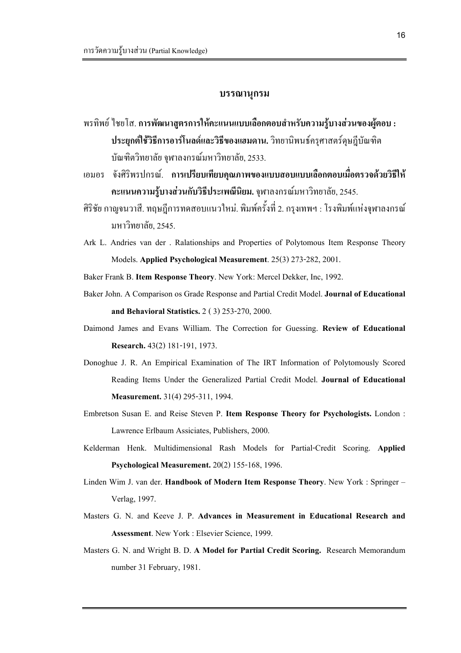## บรรณานุกรม

- พรทิพย์ ไชยโส. การพัฒนาสูตรการให้คะแนนแบบเลือกตอบสำหรับความรู้บางส่วนของผู้ตอบ : ประยุกต์ใช้วิธีการอาร์โนลด์และวิธีของแฮมดาน. วิทยานิพนธ์ครุศาสตร์ดุษฎีบัณฑิต บัณฑิตวิทยาลัย จุฬาลงกรณ์มหาวิทยาลัย, 2533.
- เอมอร จังศิริพรปกรณ์. การเปรียบเทียบคุณภาพของแบบสอบแบบเลือกตอบเมื่อตรวจด้วยวิธีให้ คะแนนความรู้บางส่วนกับวิธีประเพณีนิยม. จุฬาลงกรณ์มหาวิทยาลัย, 2545.
- ศิริชัย กาญจนวาสี. ทฤษฎีการทดสอบแนวใหม่. พิมพ์ครั้งที่ 2. กรุงเทพฯ : โรงพิมพ์แห่งจุฬาลงกรณ์ <u>ิมหาวิทยาลัย. 2545.</u>
- Ark L. Andries van der . Ralationships and Properties of Polytomous Item Response Theory Models. Applied Psychological Measurement. 25(3) 273-282, 2001.
- Baker Frank B. Item Response Theory. New York: Mercel Dekker, Inc, 1992.
- Baker John. A Comparison os Grade Response and Partial Credit Model. Journal of Educational and Behavioral Statistics. 2 ( 3) 253-270, 2000.
- Daimond James and Evans William. The Correction for Guessing. Review of Educational Research. 43(2) 181-191, 1973.
- Donoghue J. R. An Empirical Examination of The IRT Information of Polytomously Scored Reading Items Under the Generalized Partial Credit Model. Journal of Educational Measurement. 31(4) 295-311, 1994.
- Embretson Susan E. and Reise Steven P. Item Response Theory for Psychologists. London : Lawrence Erlbaum Assiciates, Publishers, 2000.
- Kelderman Henk. Multidimensional Rash Models for Partial-Credit Scoring. Applied Psychological Measurement. 20(2) 155-168, 1996.
- Linden Wim J. van der. Handbook of Modern Item Response Theory. New York : Springer -Verlag, 1997.
- Masters G. N. and Keeve J. P. Advances in Measurement in Educational Research and Assessment. New York : Elsevier Science, 1999.
- Masters G. N. and Wright B. D. A Model for Partial Credit Scoring. Research Memorandum number 31 February, 1981.